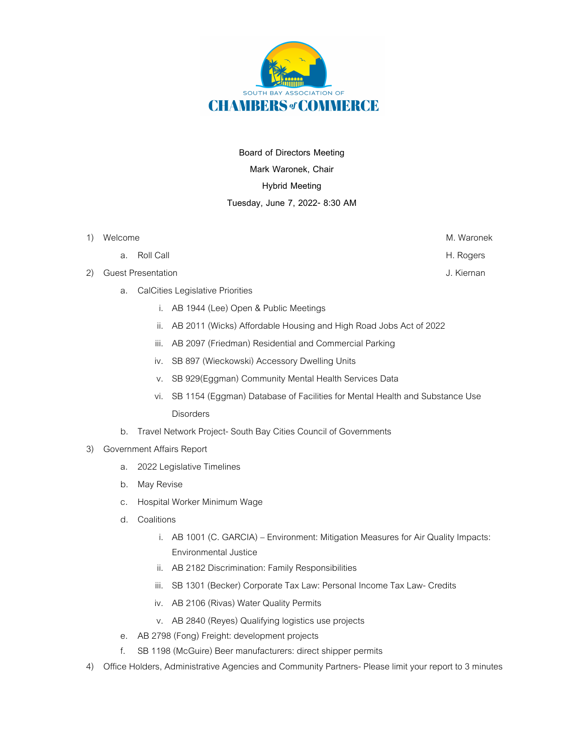

**Board of Directors Meeting Mark Waronek, Chair Hybrid Meeting Tuesday, June 7, 2022- 8:30 AM**

- 1) Welcome M. Waronek
	- a. Roll Call **H. Rogers**
- 2) Guest Presentation **J. Kiernan** J. Kiernan J. Kiernan J. Kiernan J. Kiernan J. Kiernan J. Kiernan J. Kiernan J. Kiernan J. Kiernan J. Kiernan J. Kiernan J. Kiernan J. Kiernan J. Kiernan J. Kiernan J. Kiernan J. Kiernan
	- a. CalCities Legislative Priorities
		- i. AB 1944 (Lee) Open & Public Meetings
		- ii. AB 2011 (Wicks) Affordable Housing and High Road Jobs Act of 2022
		- iii. AB 2097 (Friedman) Residential and Commercial Parking
		- iv. SB 897 (Wieckowski) Accessory Dwelling Units
		- v. SB 929(Eggman) Community Mental Health Services Data
		- vi. SB 1154 (Eggman) Database of Facilities for Mental Health and Substance Use **Disorders**
	- b. Travel Network Project- South Bay Cities Council of Governments
- 3) Government Affairs Report
	- a. 2022 Legislative Timelines
	- b. May Revise
	- c. Hospital Worker Minimum Wage
	- d. Coalitions
		- i. AB 1001 (C. GARCIA) Environment: Mitigation Measures for Air Quality Impacts: Environmental Justice
		- ii. AB 2182 Discrimination: Family Responsibilities
		- iii. SB 1301 (Becker) Corporate Tax Law: Personal Income Tax Law- Credits
		- iv. AB 2106 (Rivas) Water Quality Permits
		- v. AB 2840 (Reyes) Qualifying logistics use projects
	- e. AB 2798 (Fong) Freight: development projects
	- f. SB 1198 (McGuire) Beer manufacturers: direct shipper permits
- 4) Office Holders, Administrative Agencies and Community Partners- Please limit your report to 3 minutes